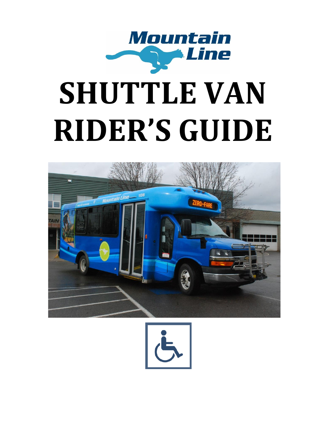

# **SHUTTLE VAN RIDER'S GUIDE**



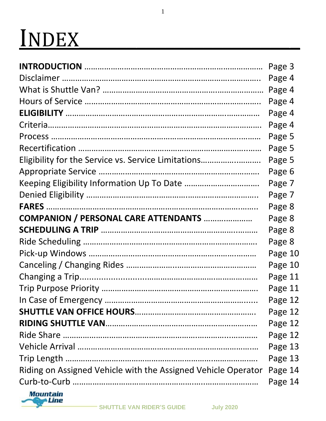## INDEX\_\_\_\_\_\_\_\_\_\_\_\_\_\_\_\_\_\_\_\_\_\_\_

|                                                               | Page 3  |
|---------------------------------------------------------------|---------|
|                                                               | Page 4  |
|                                                               | Page 4  |
|                                                               | Page 4  |
|                                                               | Page 4  |
|                                                               | Page 4  |
|                                                               | Page 5  |
|                                                               | Page 5  |
| Eligibility for the Service vs. Service Limitations           | Page 5  |
|                                                               | Page 6  |
|                                                               | Page 7  |
|                                                               | Page 7  |
|                                                               | Page 8  |
| <b>COMPANION / PERSONAL CARE ATTENDANTS </b>                  | Page 8  |
|                                                               | Page 8  |
|                                                               | Page 8  |
|                                                               | Page 10 |
|                                                               | Page 10 |
|                                                               | Page 11 |
|                                                               | Page 11 |
|                                                               | Page 12 |
|                                                               | Page 12 |
|                                                               | Page 12 |
|                                                               | Page 12 |
|                                                               | Page 13 |
|                                                               | Page 13 |
| Riding on Assigned Vehicle with the Assigned Vehicle Operator | Page 14 |
|                                                               | Page 14 |
|                                                               |         |

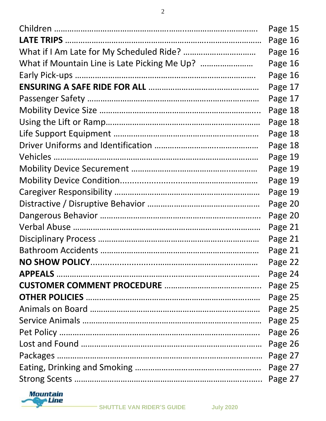| Page 15 |
|---------|
| Page 16 |
| Page 16 |
| Page 16 |
| Page 16 |
| Page 17 |
| Page 17 |
| Page 18 |
| Page 18 |
| Page 18 |
| Page 18 |
| Page 19 |
| Page 19 |
| Page 19 |
| Page 19 |
| Page 20 |
| Page 20 |
| Page 21 |
| Page 21 |
| Page 21 |
| Page 22 |
| Page 24 |
|         |
| Page 25 |
| Page 25 |
| Page 25 |
| Page 26 |
| Page 26 |
|         |
|         |
| Page 27 |

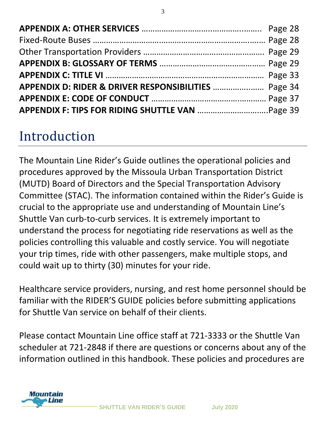| APPENDIX D: RIDER & DRIVER RESPONSIBILITIES  Page 34 |  |
|------------------------------------------------------|--|
|                                                      |  |
|                                                      |  |

### Introduction

The Mountain Line Rider's Guide outlines the operational policies and procedures approved by the Missoula Urban Transportation District (MUTD) Board of Directors and the Special Transportation Advisory Committee (STAC). The information contained within the Rider's Guide is crucial to the appropriate use and understanding of Mountain Line's Shuttle Van curb-to-curb services. It is extremely important to understand the process for negotiating ride reservations as well as the policies controlling this valuable and costly service. You will negotiate your trip times, ride with other passengers, make multiple stops, and could wait up to thirty (30) minutes for your ride.

Healthcare service providers, nursing, and rest home personnel should be familiar with the RIDER'S GUIDE policies before submitting applications for Shuttle Van service on behalf of their clients.

Please contact Mountain Line office staff at 721-3333 or the Shuttle Van scheduler at 721-2848 if there are questions or concerns about any of the information outlined in this handbook. These policies and procedures are

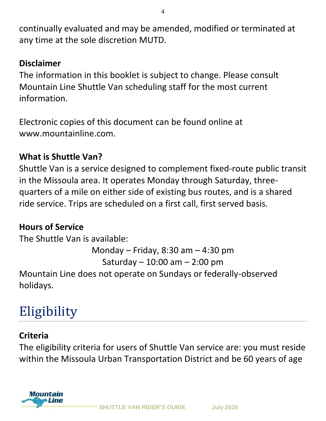continually evaluated and may be amended, modified or terminated at any time at the sole discretion MUTD.

#### **Disclaimer**

The information in this booklet is subject to change. Please consult Mountain Line Shuttle Van scheduling staff for the most current information.

Electronic copies of this document can be found online at www.mountainline.com.

#### **What is Shuttle Van?**

Shuttle Van is a service designed to complement fixed-route public transit in the Missoula area. It operates Monday through Saturday, threequarters of a mile on either side of existing bus routes, and is a shared ride service. Trips are scheduled on a first call, first served basis.

#### **Hours of Service**

The Shuttle Van is available: Monday – Friday, 8:30 am – 4:30 pm Saturday – 10:00 am – 2:00 pm Mountain Line does not operate on Sundays or federally-observed holidays.

### Eligibility

#### **Criteria**

The eligibility criteria for users of Shuttle Van service are: you must reside within the Missoula Urban Transportation District and be 60 years of age

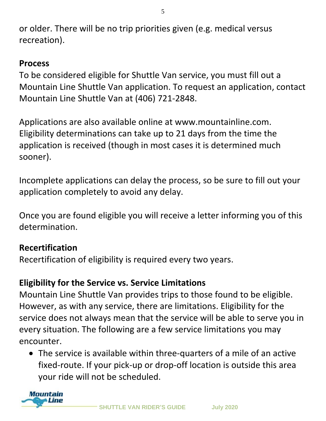or older. There will be no trip priorities given (e.g. medical versus recreation).

#### **Process**

To be considered eligible for Shuttle Van service, you must fill out a Mountain Line Shuttle Van application. To request an application, contact Mountain Line Shuttle Van at (406) 721-2848.

Applications are also available online at www.mountainline.com. Eligibility determinations can take up to 21 days from the time the application is received (though in most cases it is determined much sooner).

Incomplete applications can delay the process, so be sure to fill out your application completely to avoid any delay.

Once you are found eligible you will receive a letter informing you of this determination.

#### **Recertification**

Recertification of eligibility is required every two years.

#### **Eligibility for the Service vs. Service Limitations**

Mountain Line Shuttle Van provides trips to those found to be eligible. However, as with any service, there are limitations. Eligibility for the service does not always mean that the service will be able to serve you in every situation. The following are a few service limitations you may encounter.

• The service is available within three-quarters of a mile of an active fixed-route. If your pick-up or drop-off location is outside this area your ride will not be scheduled.

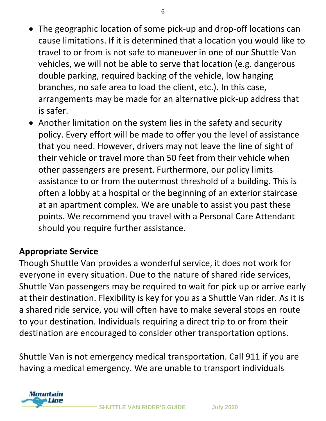- The geographic location of some pick-up and drop-off locations can cause limitations. If it is determined that a location you would like to travel to or from is not safe to maneuver in one of our Shuttle Van vehicles, we will not be able to serve that location (e.g. dangerous double parking, required backing of the vehicle, low hanging branches, no safe area to load the client, etc.). In this case, arrangements may be made for an alternative pick-up address that is safer.
- Another limitation on the system lies in the safety and security policy. Every effort will be made to offer you the level of assistance that you need. However, drivers may not leave the line of sight of their vehicle or travel more than 50 feet from their vehicle when other passengers are present. Furthermore, our policy limits assistance to or from the outermost threshold of a building. This is often a lobby at a hospital or the beginning of an exterior staircase at an apartment complex. We are unable to assist you past these points. We recommend you travel with a Personal Care Attendant should you require further assistance.

#### **Appropriate Service**

Though Shuttle Van provides a wonderful service, it does not work for everyone in every situation. Due to the nature of shared ride services, Shuttle Van passengers may be required to wait for pick up or arrive early at their destination. Flexibility is key for you as a Shuttle Van rider. As it is a shared ride service, you will often have to make several stops en route to your destination. Individuals requiring a direct trip to or from their destination are encouraged to consider other transportation options.

Shuttle Van is not emergency medical transportation. Call 911 if you are having a medical emergency. We are unable to transport individuals

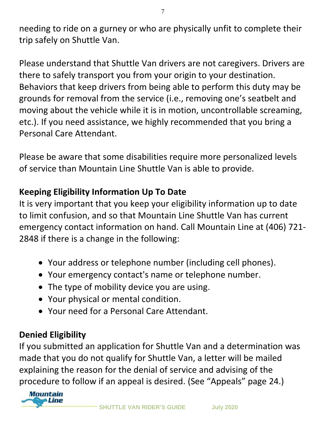needing to ride on a gurney or who are physically unfit to complete their trip safely on Shuttle Van.

Please understand that Shuttle Van drivers are not caregivers. Drivers are there to safely transport you from your origin to your destination. Behaviors that keep drivers from being able to perform this duty may be grounds for removal from the service (i.e., removing one's seatbelt and moving about the vehicle while it is in motion, uncontrollable screaming, etc.). If you need assistance, we highly recommended that you bring a Personal Care Attendant.

Please be aware that some disabilities require more personalized levels of service than Mountain Line Shuttle Van is able to provide.

#### **Keeping Eligibility Information Up To Date**

It is very important that you keep your eligibility information up to date to limit confusion, and so that Mountain Line Shuttle Van has current emergency contact information on hand. Call Mountain Line at (406) 721- 2848 if there is a change in the following:

- Your address or telephone number (including cell phones).
- Your emergency contact's name or telephone number.
- The type of mobility device you are using.
- Your physical or mental condition.
- Your need for a Personal Care Attendant.

#### **Denied Eligibility**

If you submitted an application for Shuttle Van and a determination was made that you do not qualify for Shuttle Van, a letter will be mailed explaining the reason for the denial of service and advising of the procedure to follow if an appeal is desired. (See "Appeals" page 24.)

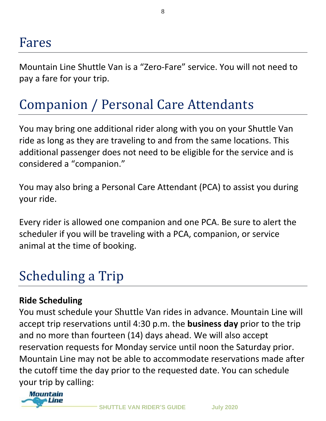Mountain Line Shuttle Van is a "Zero-Fare" service. You will not need to pay a fare for your trip.

### Companion / Personal Care Attendants

You may bring one additional rider along with you on your Shuttle Van ride as long as they are traveling to and from the same locations. This additional passenger does not need to be eligible for the service and is considered a "companion."

You may also bring a Personal Care Attendant (PCA) to assist you during your ride.

Every rider is allowed one companion and one PCA. Be sure to alert the scheduler if you will be traveling with a PCA, companion, or service animal at the time of booking.

### Scheduling a Trip

#### **Ride Scheduling**

You must schedule your Shuttle Van rides in advance. Mountain Line will accept trip reservations until 4:30 p.m. the **business day** prior to the trip and no more than fourteen (14) days ahead. We will also accept reservation requests for Monday service until noon the Saturday prior. Mountain Line may not be able to accommodate reservations made after the cutoff time the day prior to the requested date. You can schedule your trip by calling:

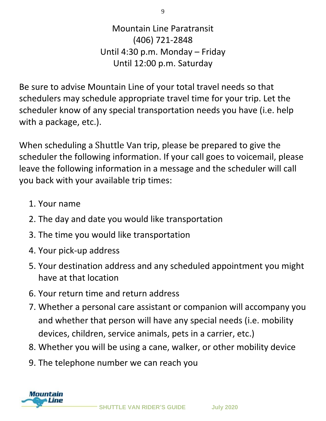Mountain Line Paratransit (406) 721-2848 Until 4:30 p.m. Monday – Friday Until 12:00 p.m. Saturday

Be sure to advise Mountain Line of your total travel needs so that schedulers may schedule appropriate travel time for your trip. Let the scheduler know of any special transportation needs you have (i.e. help with a package, etc.).

When scheduling a Shuttle Van trip, please be prepared to give the scheduler the following information. If your call goes to voicemail, please leave the following information in a message and the scheduler will call you back with your available trip times:

- 1. Your name
- 2. The day and date you would like transportation
- 3. The time you would like transportation
- 4. Your pick-up address
- 5. Your destination address and any scheduled appointment you might have at that location
- 6. Your return time and return address
- 7. Whether a personal care assistant or companion will accompany you and whether that person will have any special needs (i.e. mobility devices, children, service animals, pets in a carrier, etc.)
- 8. Whether you will be using a cane, walker, or other mobility device
- 9. The telephone number we can reach you

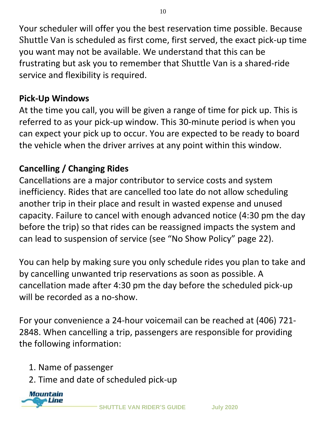Your scheduler will offer you the best reservation time possible. Because Shuttle Van is scheduled as first come, first served, the exact pick-up time you want may not be available. We understand that this can be frustrating but ask you to remember that Shuttle Van is a shared-ride service and flexibility is required.

#### **Pick-Up Windows**

At the time you call, you will be given a range of time for pick up. This is referred to as your pick-up window. This 30-minute period is when you can expect your pick up to occur. You are expected to be ready to board the vehicle when the driver arrives at any point within this window.

#### **Cancelling / Changing Rides**

Cancellations are a major contributor to service costs and system inefficiency. Rides that are cancelled too late do not allow scheduling another trip in their place and result in wasted expense and unused capacity. Failure to cancel with enough advanced notice (4:30 pm the day before the trip) so that rides can be reassigned impacts the system and can lead to suspension of service (see "No Show Policy" page 22).

You can help by making sure you only schedule rides you plan to take and by cancelling unwanted trip reservations as soon as possible. A cancellation made after 4:30 pm the day before the scheduled pick-up will be recorded as a no-show.

For your convenience a 24-hour voicemail can be reached at (406) 721- 2848. When cancelling a trip, passengers are responsible for providing the following information:

- 1. Name of passenger
- 2. Time and date of scheduled pick-up



**SHUTTLE VAN RIDER'S GUIDE July 2020**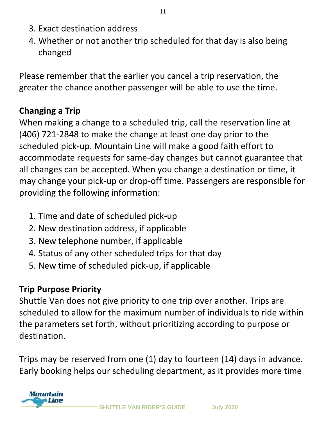- 3. Exact destination address
- 4. Whether or not another trip scheduled for that day is also being changed

Please remember that the earlier you cancel a trip reservation, the greater the chance another passenger will be able to use the time.

#### **Changing a Trip**

When making a change to a scheduled trip, call the reservation line at (406) 721-2848 to make the change at least one day prior to the scheduled pick-up. Mountain Line will make a good faith effort to accommodate requests for same-day changes but cannot guarantee that all changes can be accepted. When you change a destination or time, it may change your pick-up or drop-off time. Passengers are responsible for providing the following information:

- 1. Time and date of scheduled pick-up
- 2. New destination address, if applicable
- 3. New telephone number, if applicable
- 4. Status of any other scheduled trips for that day
- 5. New time of scheduled pick-up, if applicable

#### **Trip Purpose Priority**

Shuttle Van does not give priority to one trip over another. Trips are scheduled to allow for the maximum number of individuals to ride within the parameters set forth, without prioritizing according to purpose or destination.

Trips may be reserved from one (1) day to fourteen (14) days in advance. Early booking helps our scheduling department, as it provides more time

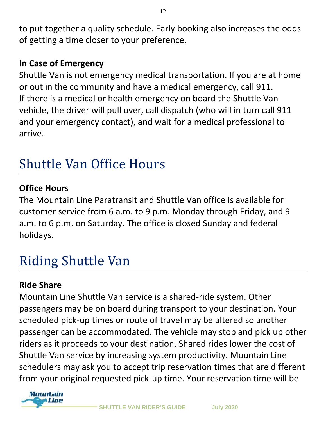to put together a quality schedule. Early booking also increases the odds of getting a time closer to your preference.

#### **In Case of Emergency**

Shuttle Van is not emergency medical transportation. If you are at home or out in the community and have a medical emergency, call 911. If there is a medical or health emergency on board the Shuttle Van vehicle, the driver will pull over, call dispatch (who will in turn call 911 and your emergency contact), and wait for a medical professional to arrive.

### Shuttle Van Office Hours

#### **Office Hours**

The Mountain Line Paratransit and Shuttle Van office is available for customer service from 6 a.m. to 9 p.m. Monday through Friday, and 9 a.m. to 6 p.m. on Saturday. The office is closed Sunday and federal holidays.

### Riding Shuttle Van

#### **Ride Share**

Mountain Line Shuttle Van service is a shared-ride system. Other passengers may be on board during transport to your destination. Your scheduled pick-up times or route of travel may be altered so another passenger can be accommodated. The vehicle may stop and pick up other riders as it proceeds to your destination. Shared rides lower the cost of Shuttle Van service by increasing system productivity. Mountain Line schedulers may ask you to accept trip reservation times that are different from your original requested pick-up time. Your reservation time will be

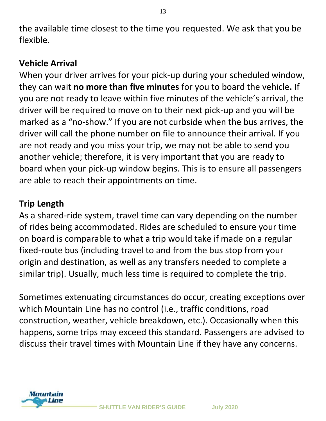the available time closest to the time you requested. We ask that you be flexible.

#### **Vehicle Arrival**

When your driver arrives for your pick-up during your scheduled window, they can wait **no more than five minutes** for you to board the vehicle**.** If you are not ready to leave within five minutes of the vehicle's arrival, the driver will be required to move on to their next pick-up and you will be marked as a "no-show." If you are not curbside when the bus arrives, the driver will call the phone number on file to announce their arrival. If you are not ready and you miss your trip, we may not be able to send you another vehicle; therefore, it is very important that you are ready to board when your pick-up window begins. This is to ensure all passengers are able to reach their appointments on time.

#### **Trip Length**

As a shared-ride system, travel time can vary depending on the number of rides being accommodated. Rides are scheduled to ensure your time on board is comparable to what a trip would take if made on a regular fixed-route bus (including travel to and from the bus stop from your origin and destination, as well as any transfers needed to complete a similar trip). Usually, much less time is required to complete the trip.

Sometimes extenuating circumstances do occur, creating exceptions over which Mountain Line has no control (i.e., traffic conditions, road construction, weather, vehicle breakdown, etc.). Occasionally when this happens, some trips may exceed this standard. Passengers are advised to discuss their travel times with Mountain Line if they have any concerns.

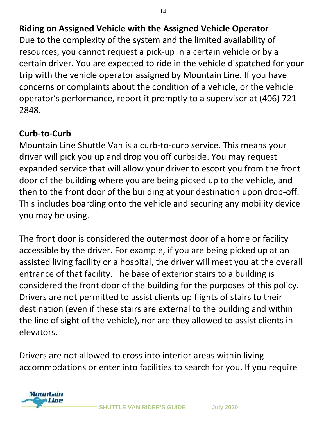#### **Riding on Assigned Vehicle with the Assigned Vehicle Operator**

Due to the complexity of the system and the limited availability of resources, you cannot request a pick-up in a certain vehicle or by a certain driver. You are expected to ride in the vehicle dispatched for your trip with the vehicle operator assigned by Mountain Line. If you have concerns or complaints about the condition of a vehicle, or the vehicle operator's performance, report it promptly to a supervisor at (406) 721- 2848.

#### **Curb-to-Curb**

Mountain Line Shuttle Van is a curb-to-curb service. This means your driver will pick you up and drop you off curbside. You may request expanded service that will allow your driver to escort you from the front door of the building where you are being picked up to the vehicle, and then to the front door of the building at your destination upon drop-off. This includes boarding onto the vehicle and securing any mobility device you may be using.

The front door is considered the outermost door of a home or facility accessible by the driver. For example, if you are being picked up at an assisted living facility or a hospital, the driver will meet you at the overall entrance of that facility. The base of exterior stairs to a building is considered the front door of the building for the purposes of this policy. Drivers are not permitted to assist clients up flights of stairs to their destination (even if these stairs are external to the building and within the line of sight of the vehicle), nor are they allowed to assist clients in elevators.

Drivers are not allowed to cross into interior areas within living accommodations or enter into facilities to search for you. If you require

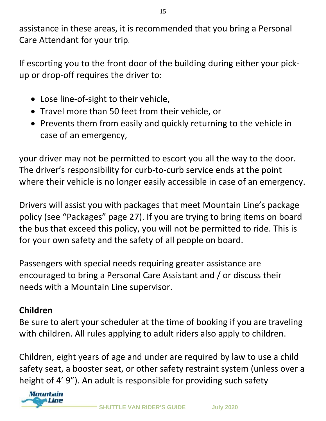assistance in these areas, it is recommended that you bring a Personal Care Attendant for your trip.

If escorting you to the front door of the building during either your pickup or drop-off requires the driver to:

- Lose line-of-sight to their vehicle,
- Travel more than 50 feet from their vehicle, or
- Prevents them from easily and quickly returning to the vehicle in case of an emergency,

your driver may not be permitted to escort you all the way to the door. The driver's responsibility for curb-to-curb service ends at the point where their vehicle is no longer easily accessible in case of an emergency.

Drivers will assist you with packages that meet Mountain Line's package policy (see "Packages" page 27). If you are trying to bring items on board the bus that exceed this policy, you will not be permitted to ride. This is for your own safety and the safety of all people on board.

Passengers with special needs requiring greater assistance are encouraged to bring a Personal Care Assistant and / or discuss their needs with a Mountain Line supervisor.

#### **Children**

Be sure to alert your scheduler at the time of booking if you are traveling with children. All rules applying to adult riders also apply to children.

Children, eight years of age and under are required by law to use a child safety seat, a booster seat, or other safety restraint system (unless over a height of 4' 9"). An adult is responsible for providing such safety

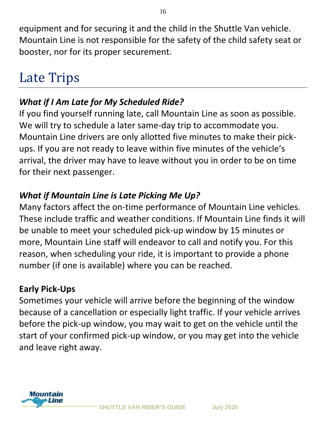equipment and for securing it and the child in the Shuttle Van vehicle. Mountain Line is not responsible for the safety of the child safety seat or booster, nor for its proper securement.

### Late Trips

#### *What if I Am Late for My Scheduled Ride?*

If you find yourself running late, call Mountain Line as soon as possible. We will try to schedule a later same-day trip to accommodate you. Mountain Line drivers are only allotted five minutes to make their pickups. If you are not ready to leave within five minutes of the vehicle's arrival, the driver may have to leave without you in order to be on time for their next passenger.

#### *What if Mountain Line is Late Picking Me Up?*

Many factors affect the on-time performance of Mountain Line vehicles. These include traffic and weather conditions. If Mountain Line finds it will be unable to meet your scheduled pick-up window by 15 minutes or more, Mountain Line staff will endeavor to call and notify you. For this reason, when scheduling your ride, it is important to provide a phone number (if one is available) where you can be reached.

#### **Early Pick-Ups**

Sometimes your vehicle will arrive before the beginning of the window because of a cancellation or especially light traffic. If your vehicle arrives before the pick-up window, you may wait to get on the vehicle until the start of your confirmed pick-up window, or you may get into the vehicle and leave right away.

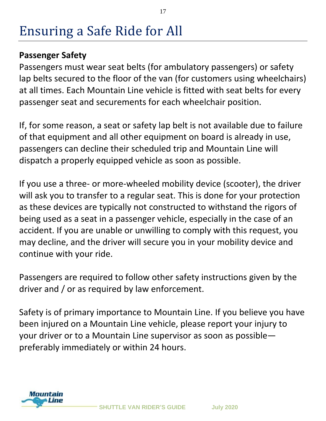### Ensuring a Safe Ride for All

#### **Passenger Safety**

Passengers must wear seat belts (for ambulatory passengers) or safety lap belts secured to the floor of the van (for customers using wheelchairs) at all times. Each Mountain Line vehicle is fitted with seat belts for every passenger seat and securements for each wheelchair position.

If, for some reason, a seat or safety lap belt is not available due to failure of that equipment and all other equipment on board is already in use, passengers can decline their scheduled trip and Mountain Line will dispatch a properly equipped vehicle as soon as possible.

If you use a three- or more-wheeled mobility device (scooter), the driver will ask you to transfer to a regular seat. This is done for your protection as these devices are typically not constructed to withstand the rigors of being used as a seat in a passenger vehicle, especially in the case of an accident. If you are unable or unwilling to comply with this request, you may decline, and the driver will secure you in your mobility device and continue with your ride.

Passengers are required to follow other safety instructions given by the driver and / or as required by law enforcement.

Safety is of primary importance to Mountain Line. If you believe you have been injured on a Mountain Line vehicle, please report your injury to your driver or to a Mountain Line supervisor as soon as possible preferably immediately or within 24 hours.

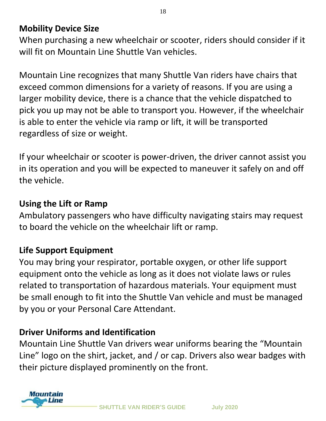#### **Mobility Device Size**

When purchasing a new wheelchair or scooter, riders should consider if it will fit on Mountain Line Shuttle Van vehicles.

Mountain Line recognizes that many Shuttle Van riders have chairs that exceed common dimensions for a variety of reasons. If you are using a larger mobility device, there is a chance that the vehicle dispatched to pick you up may not be able to transport you. However, if the wheelchair is able to enter the vehicle via ramp or lift, it will be transported regardless of size or weight.

If your wheelchair or scooter is power-driven, the driver cannot assist you in its operation and you will be expected to maneuver it safely on and off the vehicle.

#### **Using the Lift or Ramp**

Ambulatory passengers who have difficulty navigating stairs may request to board the vehicle on the wheelchair lift or ramp.

#### **Life Support Equipment**

You may bring your respirator, portable oxygen, or other life support equipment onto the vehicle as long as it does not violate laws or rules related to transportation of hazardous materials. Your equipment must be small enough to fit into the Shuttle Van vehicle and must be managed by you or your Personal Care Attendant.

#### **Driver Uniforms and Identification**

Mountain Line Shuttle Van drivers wear uniforms bearing the "Mountain Line" logo on the shirt, jacket, and / or cap. Drivers also wear badges with their picture displayed prominently on the front.

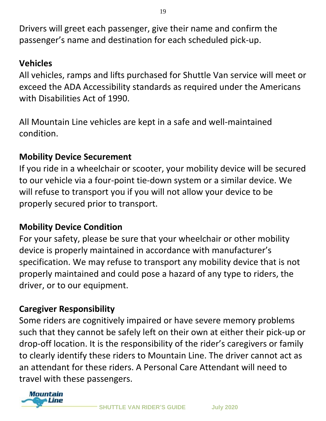Drivers will greet each passenger, give their name and confirm the passenger's name and destination for each scheduled pick-up.

#### **Vehicles**

All vehicles, ramps and lifts purchased for Shuttle Van service will meet or exceed the ADA Accessibility standards as required under the Americans with Disabilities Act of 1990.

All Mountain Line vehicles are kept in a safe and well-maintained condition.

#### **Mobility Device Securement**

If you ride in a wheelchair or scooter, your mobility device will be secured to our vehicle via a four-point tie-down system or a similar device. We will refuse to transport you if you will not allow your device to be properly secured prior to transport.

#### **Mobility Device Condition**

For your safety, please be sure that your wheelchair or other mobility device is properly maintained in accordance with manufacturer's specification. We may refuse to transport any mobility device that is not properly maintained and could pose a hazard of any type to riders, the driver, or to our equipment.

#### **Caregiver Responsibility**

Some riders are cognitively impaired or have severe memory problems such that they cannot be safely left on their own at either their pick-up or drop-off location. It is the responsibility of the rider's caregivers or family to clearly identify these riders to Mountain Line. The driver cannot act as an attendant for these riders. A Personal Care Attendant will need to travel with these passengers.

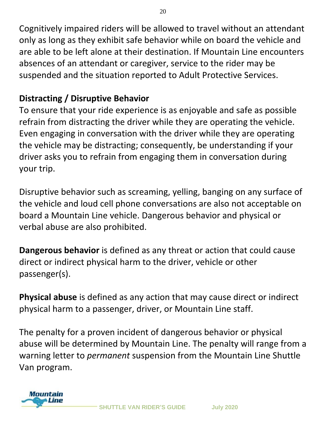Cognitively impaired riders will be allowed to travel without an attendant only as long as they exhibit safe behavior while on board the vehicle and are able to be left alone at their destination. If Mountain Line encounters absences of an attendant or caregiver, service to the rider may be suspended and the situation reported to Adult Protective Services.

#### **Distracting / Disruptive Behavior**

To ensure that your ride experience is as enjoyable and safe as possible refrain from distracting the driver while they are operating the vehicle. Even engaging in conversation with the driver while they are operating the vehicle may be distracting; consequently, be understanding if your driver asks you to refrain from engaging them in conversation during your trip.

Disruptive behavior such as screaming, yelling, banging on any surface of the vehicle and loud cell phone conversations are also not acceptable on board a Mountain Line vehicle. Dangerous behavior and physical or verbal abuse are also prohibited.

**Dangerous behavior** is defined as any threat or action that could cause direct or indirect physical harm to the driver, vehicle or other passenger(s).

**Physical abuse** is defined as any action that may cause direct or indirect physical harm to a passenger, driver, or Mountain Line staff.

The penalty for a proven incident of dangerous behavior or physical abuse will be determined by Mountain Line. The penalty will range from a warning letter to *permanent* suspension from the Mountain Line Shuttle Van program.

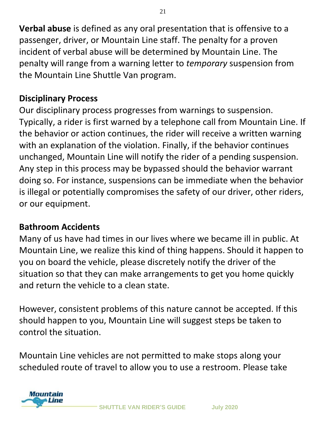**Verbal abuse** is defined as any oral presentation that is offensive to a passenger, driver, or Mountain Line staff. The penalty for a proven incident of verbal abuse will be determined by Mountain Line. The penalty will range from a warning letter to *temporary* suspension from the Mountain Line Shuttle Van program.

#### **Disciplinary Process**

Our disciplinary process progresses from warnings to suspension. Typically, a rider is first warned by a telephone call from Mountain Line. If the behavior or action continues, the rider will receive a written warning with an explanation of the violation. Finally, if the behavior continues unchanged, Mountain Line will notify the rider of a pending suspension. Any step in this process may be bypassed should the behavior warrant doing so. For instance, suspensions can be immediate when the behavior is illegal or potentially compromises the safety of our driver, other riders, or our equipment.

#### **Bathroom Accidents**

Many of us have had times in our lives where we became ill in public. At Mountain Line, we realize this kind of thing happens. Should it happen to you on board the vehicle, please discretely notify the driver of the situation so that they can make arrangements to get you home quickly and return the vehicle to a clean state.

However, consistent problems of this nature cannot be accepted. If this should happen to you, Mountain Line will suggest steps be taken to control the situation.

Mountain Line vehicles are not permitted to make stops along your scheduled route of travel to allow you to use a restroom. Please take

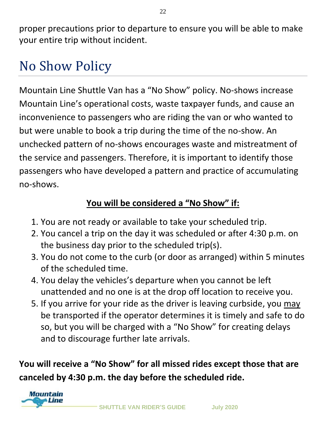proper precautions prior to departure to ensure you will be able to make your entire trip without incident.

### No Show Policy

Mountain Line Shuttle Van has a "No Show" policy. No-shows increase Mountain Line's operational costs, waste taxpayer funds, and cause an inconvenience to passengers who are riding the van or who wanted to but were unable to book a trip during the time of the no-show. An unchecked pattern of no-shows encourages waste and mistreatment of the service and passengers. Therefore, it is important to identify those passengers who have developed a pattern and practice of accumulating no-shows.

#### **You will be considered a "No Show" if:**

- 1. You are not ready or available to take your scheduled trip.
- 2. You cancel a trip on the day it was scheduled or after 4:30 p.m. on the business day prior to the scheduled trip(s).
- 3. You do not come to the curb (or door as arranged) within 5 minutes of the scheduled time.
- 4. You delay the vehicles's departure when you cannot be left unattended and no one is at the drop off location to receive you.
- 5. If you arrive for your ride as the driver is leaving curbside, you may be transported if the operator determines it is timely and safe to do so, but you will be charged with a "No Show" for creating delays and to discourage further late arrivals.

**You will receive a "No Show" for all missed rides except those that are canceled by 4:30 p.m. the day before the scheduled ride.**

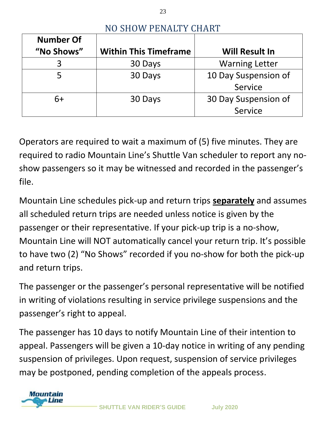| <b>Number Of</b><br>"No Shows" | <b>Within This Timeframe</b> | <b>Will Result In</b> |
|--------------------------------|------------------------------|-----------------------|
|                                | 30 Days                      | <b>Warning Letter</b> |
|                                | 30 Days                      | 10 Day Suspension of  |
|                                |                              | Service               |
| 6+                             | 30 Days                      | 30 Day Suspension of  |
|                                |                              | Service               |

#### NO SHOW PENALTY CHART

23

Operators are required to wait a maximum of (5) five minutes. They are required to radio Mountain Line's Shuttle Van scheduler to report any noshow passengers so it may be witnessed and recorded in the passenger's file.

Mountain Line schedules pick-up and return trips **separately** and assumes all scheduled return trips are needed unless notice is given by the passenger or their representative. If your pick-up trip is a no-show, Mountain Line will NOT automatically cancel your return trip. It's possible to have two (2) "No Shows" recorded if you no-show for both the pick-up and return trips.

The passenger or the passenger's personal representative will be notified in writing of violations resulting in service privilege suspensions and the passenger's right to appeal.

The passenger has 10 days to notify Mountain Line of their intention to appeal. Passengers will be given a 10-day notice in writing of any pending suspension of privileges. Upon request, suspension of service privileges may be postponed, pending completion of the appeals process.

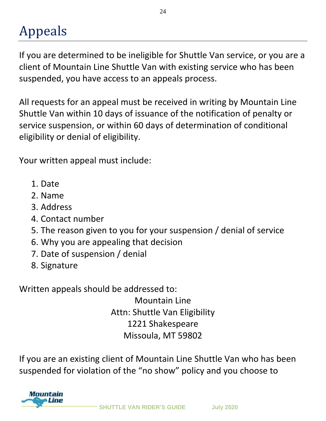### Appeals

If you are determined to be ineligible for Shuttle Van service, or you are a client of Mountain Line Shuttle Van with existing service who has been suspended, you have access to an appeals process.

All requests for an appeal must be received in writing by Mountain Line Shuttle Van within 10 days of issuance of the notification of penalty or service suspension, or within 60 days of determination of conditional eligibility or denial of eligibility.

Your written appeal must include:

- 1. Date
- 2. Name
- 3. Address
- 4. Contact number
- 5. The reason given to you for your suspension / denial of service
- 6. Why you are appealing that decision
- 7. Date of suspension / denial
- 8. Signature

Written appeals should be addressed to:

Mountain Line Attn: Shuttle Van Eligibility 1221 Shakespeare Missoula, MT 59802

If you are an existing client of Mountain Line Shuttle Van who has been suspended for violation of the "no show" policy and you choose to

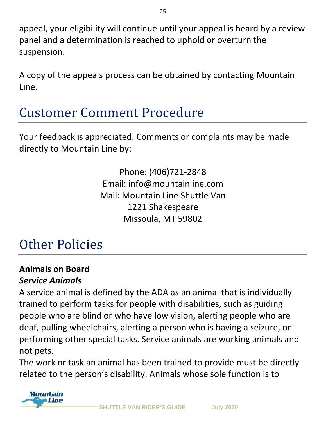appeal, your eligibility will continue until your appeal is heard by a review panel and a determination is reached to uphold or overturn the suspension.

A copy of the appeals process can be obtained by contacting Mountain Line.

### Customer Comment Procedure

Your feedback is appreciated. Comments or complaints may be made directly to Mountain Line by:

> Phone: (406)721-2848 Email: info@mountainline.com Mail: Mountain Line Shuttle Van 1221 Shakespeare Missoula, MT 59802

### Other Policies

#### **Animals on Board**  *Service Animals*

A service animal is defined by the ADA as an animal that is individually trained to perform tasks for people with disabilities, such as guiding people who are blind or who have low vision, alerting people who are deaf, pulling wheelchairs, alerting a person who is having a seizure, or performing other special tasks. Service animals are working animals and not pets.

The work or task an animal has been trained to provide must be directly related to the person's disability. Animals whose sole function is to

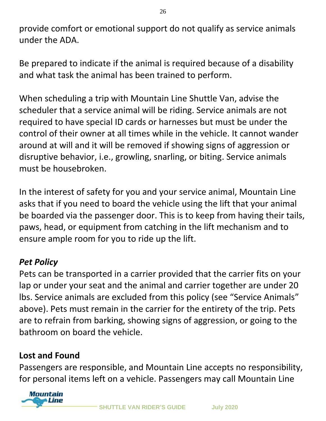provide comfort or emotional support do not qualify as service animals under the ADA.

Be prepared to indicate if the animal is required because of a disability and what task the animal has been trained to perform.

When scheduling a trip with Mountain Line Shuttle Van, advise the scheduler that a service animal will be riding. Service animals are not required to have special ID cards or harnesses but must be under the control of their owner at all times while in the vehicle. It cannot wander around at will and it will be removed if showing signs of aggression or disruptive behavior, i.e., growling, snarling, or biting. Service animals must be housebroken.

In the interest of safety for you and your service animal, Mountain Line asks that if you need to board the vehicle using the lift that your animal be boarded via the passenger door. This is to keep from having their tails, paws, head, or equipment from catching in the lift mechanism and to ensure ample room for you to ride up the lift.

#### *Pet Policy*

Pets can be transported in a carrier provided that the carrier fits on your lap or under your seat and the animal and carrier together are under 20 lbs. Service animals are excluded from this policy (see "Service Animals" above). Pets must remain in the carrier for the entirety of the trip. Pets are to refrain from barking, showing signs of aggression, or going to the bathroom on board the vehicle.

#### **Lost and Found**

Passengers are responsible, and Mountain Line accepts no responsibility, for personal items left on a vehicle. Passengers may call Mountain Line

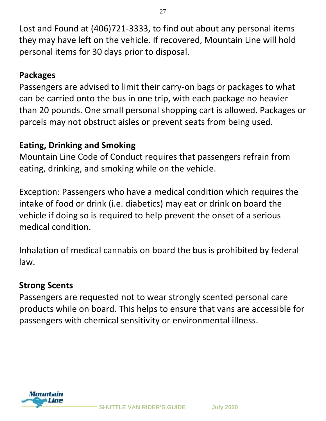Lost and Found at (406)721-3333, to find out about any personal items they may have left on the vehicle. If recovered, Mountain Line will hold personal items for 30 days prior to disposal.

#### **Packages**

Passengers are advised to limit their carry-on bags or packages to what can be carried onto the bus in one trip, with each package no heavier than 20 pounds. One small personal shopping cart is allowed. Packages or parcels may not obstruct aisles or prevent seats from being used.

#### **Eating, Drinking and Smoking**

Mountain Line Code of Conduct requires that passengers refrain from eating, drinking, and smoking while on the vehicle.

Exception: Passengers who have a medical condition which requires the intake of food or drink (i.e. diabetics) may eat or drink on board the vehicle if doing so is required to help prevent the onset of a serious medical condition.

Inhalation of medical cannabis on board the bus is prohibited by federal law.

#### **Strong Scents**

Passengers are requested not to wear strongly scented personal care products while on board. This helps to ensure that vans are accessible for passengers with chemical sensitivity or environmental illness.

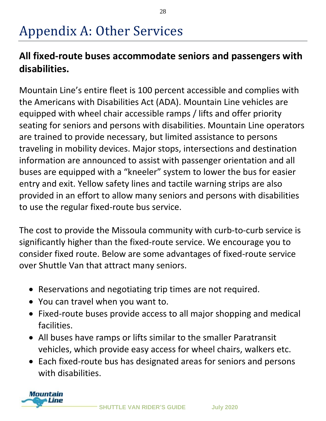### Appendix A: Other Services

#### **All fixed-route buses accommodate seniors and passengers with disabilities.**

Mountain Line's entire fleet is 100 percent accessible and complies with the Americans with Disabilities Act (ADA). Mountain Line vehicles are equipped with wheel chair accessible ramps / lifts and offer priority seating for seniors and persons with disabilities. Mountain Line operators are trained to provide necessary, but limited assistance to persons traveling in mobility devices. Major stops, intersections and destination information are announced to assist with passenger orientation and all buses are equipped with a "kneeler" system to lower the bus for easier entry and exit. Yellow safety lines and tactile warning strips are also provided in an effort to allow many seniors and persons with disabilities to use the regular fixed-route bus service.

The cost to provide the Missoula community with curb-to-curb service is significantly higher than the fixed-route service. We encourage you to consider fixed route. Below are some advantages of fixed-route service over Shuttle Van that attract many seniors.

- Reservations and negotiating trip times are not required.
- You can travel when you want to.
- Fixed-route buses provide access to all major shopping and medical facilities.
- All buses have ramps or lifts similar to the smaller Paratransit vehicles, which provide easy access for wheel chairs, walkers etc.
- Each fixed-route bus has designated areas for seniors and persons with disabilities.

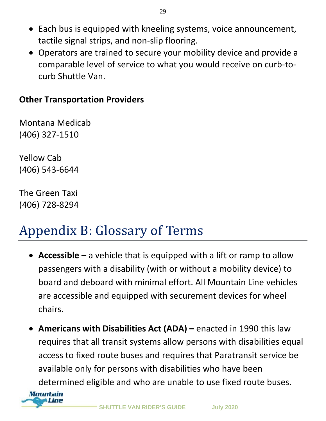- Each bus is equipped with kneeling systems, voice announcement, tactile signal strips, and non-slip flooring.
- Operators are trained to secure your mobility device and provide a comparable level of service to what you would receive on curb-tocurb Shuttle Van.

#### **Other Transportation Providers**

Montana Medicab (406) 327-1510

Yellow Cab (406) 543-6644

The Green Taxi (406) 728-8294

### Appendix B: Glossary of Terms

- **Accessible –** a vehicle that is equipped with a lift or ramp to allow passengers with a disability (with or without a mobility device) to board and deboard with minimal effort. All Mountain Line vehicles are accessible and equipped with securement devices for wheel chairs.
- **Americans with Disabilities Act (ADA) –** enacted in 1990 this law requires that all transit systems allow persons with disabilities equal access to fixed route buses and requires that Paratransit service be available only for persons with disabilities who have been determined eligible and who are unable to use fixed route buses.



**SHUTTLE VAN RIDER'S GUIDE July 2020**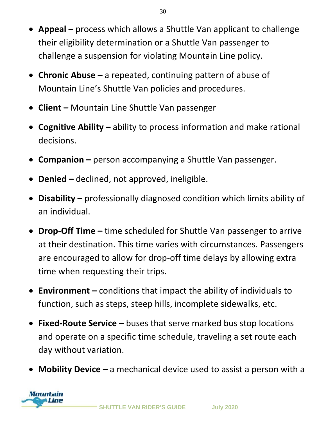- **Appeal –** process which allows a Shuttle Van applicant to challenge their eligibility determination or a Shuttle Van passenger to challenge a suspension for violating Mountain Line policy.
- **Chronic Abuse –** a repeated, continuing pattern of abuse of Mountain Line's Shuttle Van policies and procedures.
- **Client –** Mountain Line Shuttle Van passenger
- **Cognitive Ability –** ability to process information and make rational decisions.
- **Companion –** person accompanying a Shuttle Van passenger.
- **Denied –** declined, not approved, ineligible.
- **Disability –** professionally diagnosed condition which limits ability of an individual.
- **Drop-Off Time –** time scheduled for Shuttle Van passenger to arrive at their destination. This time varies with circumstances. Passengers are encouraged to allow for drop-off time delays by allowing extra time when requesting their trips.
- **Environment –** conditions that impact the ability of individuals to function, such as steps, steep hills, incomplete sidewalks, etc.
- **Fixed-Route Service –** buses that serve marked bus stop locations and operate on a specific time schedule, traveling a set route each day without variation.
- **Mobility Device –** a mechanical device used to assist a person with a

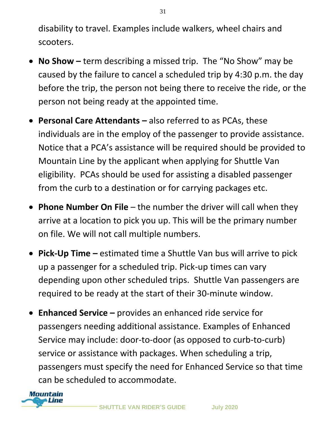disability to travel. Examples include walkers, wheel chairs and scooters.

- **No Show –** term describing a missed trip. The "No Show" may be caused by the failure to cancel a scheduled trip by 4:30 p.m. the day before the trip, the person not being there to receive the ride, or the person not being ready at the appointed time.
- **Personal Care Attendants –** also referred to as PCAs, these individuals are in the employ of the passenger to provide assistance. Notice that a PCA's assistance will be required should be provided to Mountain Line by the applicant when applying for Shuttle Van eligibility. PCAs should be used for assisting a disabled passenger from the curb to a destination or for carrying packages etc.
- **Phone Number On File**  the number the driver will call when they arrive at a location to pick you up. This will be the primary number on file. We will not call multiple numbers.
- **Pick-Up Time –** estimated time a Shuttle Van bus will arrive to pick up a passenger for a scheduled trip. Pick-up times can vary depending upon other scheduled trips. Shuttle Van passengers are required to be ready at the start of their 30-minute window.
- **Enhanced Service –** provides an enhanced ride service for passengers needing additional assistance. Examples of Enhanced Service may include: door-to-door (as opposed to curb-to-curb) service or assistance with packages. When scheduling a trip, passengers must specify the need for Enhanced Service so that time can be scheduled to accommodate.

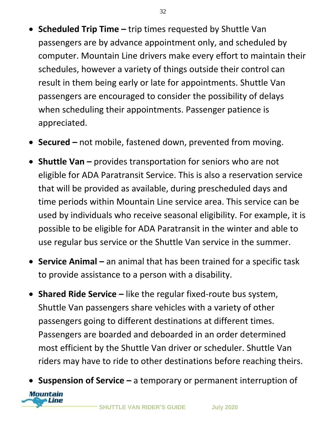- **Scheduled Trip Time –** trip times requested by Shuttle Van passengers are by advance appointment only, and scheduled by computer. Mountain Line drivers make every effort to maintain their schedules, however a variety of things outside their control can result in them being early or late for appointments. Shuttle Van passengers are encouraged to consider the possibility of delays when scheduling their appointments. Passenger patience is appreciated.
- **Secured –** not mobile, fastened down, prevented from moving.
- **Shuttle Van** provides transportation for seniors who are not eligible for ADA Paratransit Service. This is also a reservation service that will be provided as available, during prescheduled days and time periods within Mountain Line service area. This service can be used by individuals who receive seasonal eligibility. For example, it is possible to be eligible for ADA Paratransit in the winter and able to use regular bus service or the Shuttle Van service in the summer.
- **Service Animal –** an animal that has been trained for a specific task to provide assistance to a person with a disability.
- **Shared Ride Service –** like the regular fixed-route bus system, Shuttle Van passengers share vehicles with a variety of other passengers going to different destinations at different times. Passengers are boarded and deboarded in an order determined most efficient by the Shuttle Van driver or scheduler. Shuttle Van riders may have to ride to other destinations before reaching theirs.
- **Suspension of Service –** a temporary or permanent interruption of Mountain **ALine**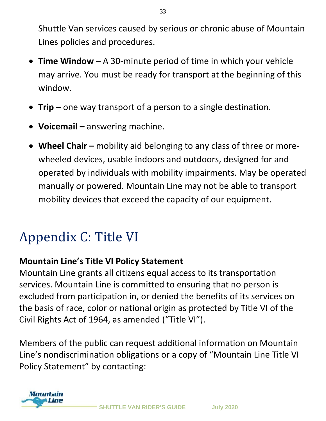Shuttle Van services caused by serious or chronic abuse of Mountain Lines policies and procedures.

33

- **Time Window**  A 30-minute period of time in which your vehicle may arrive. You must be ready for transport at the beginning of this window.
- **Trip –** one way transport of a person to a single destination.
- **Voicemail –** answering machine.
- **Wheel Chair –** mobility aid belonging to any class of three or morewheeled devices, usable indoors and outdoors, designed for and operated by individuals with mobility impairments. May be operated manually or powered. Mountain Line may not be able to transport mobility devices that exceed the capacity of our equipment.

### Appendix C: Title VI

#### **Mountain Line's Title VI Policy Statement**

Mountain Line grants all citizens equal access to its transportation services. Mountain Line is committed to ensuring that no person is excluded from participation in, or denied the benefits of its services on the basis of race, color or national origin as protected by Title VI of the Civil Rights Act of 1964, as amended ("Title VI").

Members of the public can request additional information on Mountain Line's nondiscrimination obligations or a copy of "Mountain Line Title VI Policy Statement" by contacting:

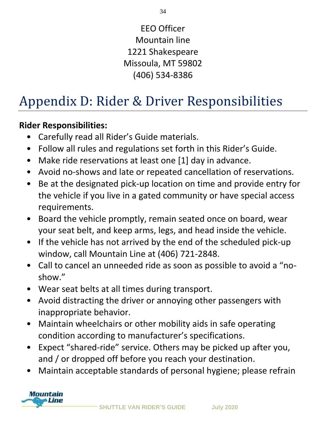EEO Officer Mountain line 1221 Shakespeare Missoula, MT 59802 (406) 534-8386

### Appendix D: Rider & Driver Responsibilities

#### **Rider Responsibilities:**

- Carefully read all Rider's Guide materials.
- Follow all rules and regulations set forth in this Rider's Guide.
- Make ride reservations at least one [1] day in advance.
- Avoid no-shows and late or repeated cancellation of reservations.
- Be at the designated pick-up location on time and provide entry for the vehicle if you live in a gated community or have special access requirements.
- Board the vehicle promptly, remain seated once on board, wear your seat belt, and keep arms, legs, and head inside the vehicle.
- If the vehicle has not arrived by the end of the scheduled pick-up window, call Mountain Line at (406) 721-2848.
- Call to cancel an unneeded ride as soon as possible to avoid a "noshow."
- Wear seat belts at all times during transport.
- Avoid distracting the driver or annoying other passengers with inappropriate behavior.
- Maintain wheelchairs or other mobility aids in safe operating condition according to manufacturer's specifications.
- Expect "shared-ride" service. Others may be picked up after you, and / or dropped off before you reach your destination.
- Maintain acceptable standards of personal hygiene; please refrain

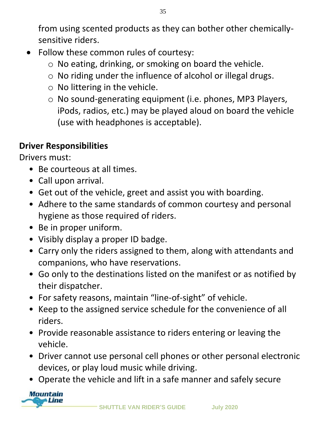from using scented products as they can bother other chemicallysensitive riders.

- Follow these common rules of courtesy:
	- o No eating, drinking, or smoking on board the vehicle.
	- o No riding under the influence of alcohol or illegal drugs.
	- $\circ$  No littering in the vehicle.
	- o No sound-generating equipment (i.e. phones, MP3 Players, iPods, radios, etc.) may be played aloud on board the vehicle (use with headphones is acceptable).

#### **Driver Responsibilities**

Drivers must:

- Be courteous at all times.
- Call upon arrival.
- Get out of the vehicle, greet and assist you with boarding.
- Adhere to the same standards of common courtesy and personal hygiene as those required of riders.
- Be in proper uniform.
- Visibly display a proper ID badge.
- Carry only the riders assigned to them, along with attendants and companions, who have reservations.
- Go only to the destinations listed on the manifest or as notified by their dispatcher.
- For safety reasons, maintain "line-of-sight" of vehicle.
- Keep to the assigned service schedule for the convenience of all riders.
- Provide reasonable assistance to riders entering or leaving the vehicle.
- Driver cannot use personal cell phones or other personal electronic devices, or play loud music while driving.
- Operate the vehicle and lift in a safe manner and safely secure

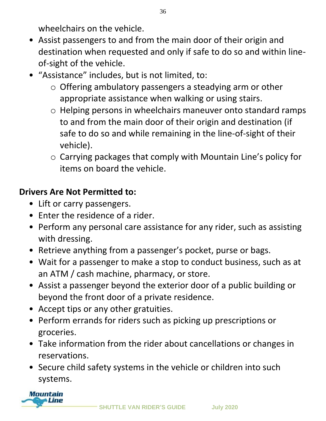wheelchairs on the vehicle.

- Assist passengers to and from the main door of their origin and destination when requested and only if safe to do so and within lineof-sight of the vehicle.
- "Assistance" includes, but is not limited, to:
	- o Offering ambulatory passengers a steadying arm or other appropriate assistance when walking or using stairs.
	- o Helping persons in wheelchairs maneuver onto standard ramps to and from the main door of their origin and destination (if safe to do so and while remaining in the line-of-sight of their vehicle).
	- o Carrying packages that comply with Mountain Line's policy for items on board the vehicle.

#### **Drivers Are Not Permitted to:**

- Lift or carry passengers.
- Enter the residence of a rider.
- Perform any personal care assistance for any rider, such as assisting with dressing.
- Retrieve anything from a passenger's pocket, purse or bags.
- Wait for a passenger to make a stop to conduct business, such as at an ATM / cash machine, pharmacy, or store.
- Assist a passenger beyond the exterior door of a public building or beyond the front door of a private residence.
- Accept tips or any other gratuities.
- Perform errands for riders such as picking up prescriptions or groceries.
- Take information from the rider about cancellations or changes in reservations.
- Secure child safety systems in the vehicle or children into such systems.

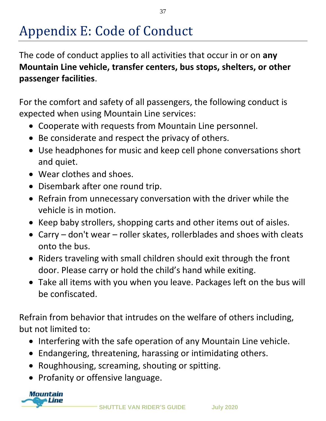### Appendix E: Code of Conduct

The code of conduct applies to all activities that occur in or on **any Mountain Line vehicle, transfer centers, bus stops, shelters, or other passenger facilities**.

For the comfort and safety of all passengers, the following conduct is expected when using Mountain Line services:

- Cooperate with requests from Mountain Line personnel.
- Be considerate and respect the privacy of others.
- Use headphones for music and keep cell phone conversations short and quiet.
- Wear clothes and shoes.
- Disembark after one round trip.
- Refrain from unnecessary conversation with the driver while the vehicle is in motion.
- Keep baby strollers, shopping carts and other items out of aisles.
- Carry don't wear roller skates, rollerblades and shoes with cleats onto the bus.
- Riders traveling with small children should exit through the front door. Please carry or hold the child's hand while exiting.
- Take all items with you when you leave. Packages left on the bus will be confiscated.

Refrain from behavior that intrudes on the welfare of others including, but not limited to:

- Interfering with the safe operation of any Mountain Line vehicle.
- Endangering, threatening, harassing or intimidating others.
- Roughhousing, screaming, shouting or spitting.
- Profanity or offensive language.

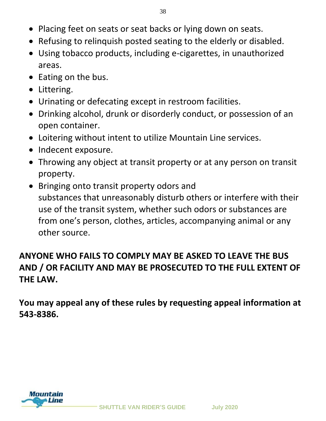- Placing feet on seats or seat backs or lying down on seats.
- Refusing to relinquish posted seating to the elderly or disabled.
- Using tobacco products, including e-cigarettes, in unauthorized areas.
- Eating on the bus.
- Littering.
- Urinating or defecating except in restroom facilities.
- Drinking alcohol, drunk or disorderly conduct, or possession of an open container.
- Loitering without intent to utilize Mountain Line services.
- Indecent exposure.
- Throwing any object at transit property or at any person on transit property.
- Bringing onto transit property odors and substances that unreasonably disturb others or interfere with their use of the transit system, whether such odors or substances are from one's person, clothes, articles, accompanying animal or any other source.

#### **ANYONE WHO FAILS TO COMPLY MAY BE ASKED TO LEAVE THE BUS AND / OR FACILITY AND MAY BE PROSECUTED TO THE FULL EXTENT OF THE LAW.**

**You may appeal any of these rules by requesting appeal information at 543-8386.**

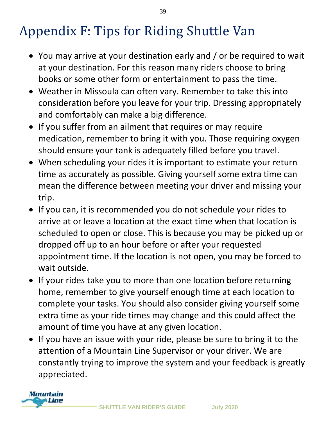### Appendix F: Tips for Riding Shuttle Van

- You may arrive at your destination early and / or be required to wait at your destination. For this reason many riders choose to bring books or some other form or entertainment to pass the time.
- Weather in Missoula can often vary. Remember to take this into consideration before you leave for your trip. Dressing appropriately and comfortably can make a big difference.
- If you suffer from an ailment that requires or may require medication, remember to bring it with you. Those requiring oxygen should ensure your tank is adequately filled before you travel.
- When scheduling your rides it is important to estimate your return time as accurately as possible. Giving yourself some extra time can mean the difference between meeting your driver and missing your trip.
- If you can, it is recommended you do not schedule your rides to arrive at or leave a location at the exact time when that location is scheduled to open or close. This is because you may be picked up or dropped off up to an hour before or after your requested appointment time. If the location is not open, you may be forced to wait outside.
- If your rides take you to more than one location before returning home, remember to give yourself enough time at each location to complete your tasks. You should also consider giving yourself some extra time as your ride times may change and this could affect the amount of time you have at any given location.
- If you have an issue with your ride, please be sure to bring it to the attention of a Mountain Line Supervisor or your driver. We are constantly trying to improve the system and your feedback is greatly appreciated.

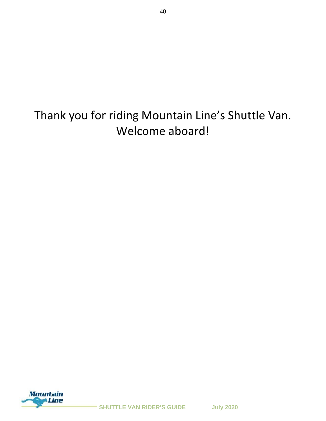Thank you for riding Mountain Line's Shuttle Van. Welcome aboard!